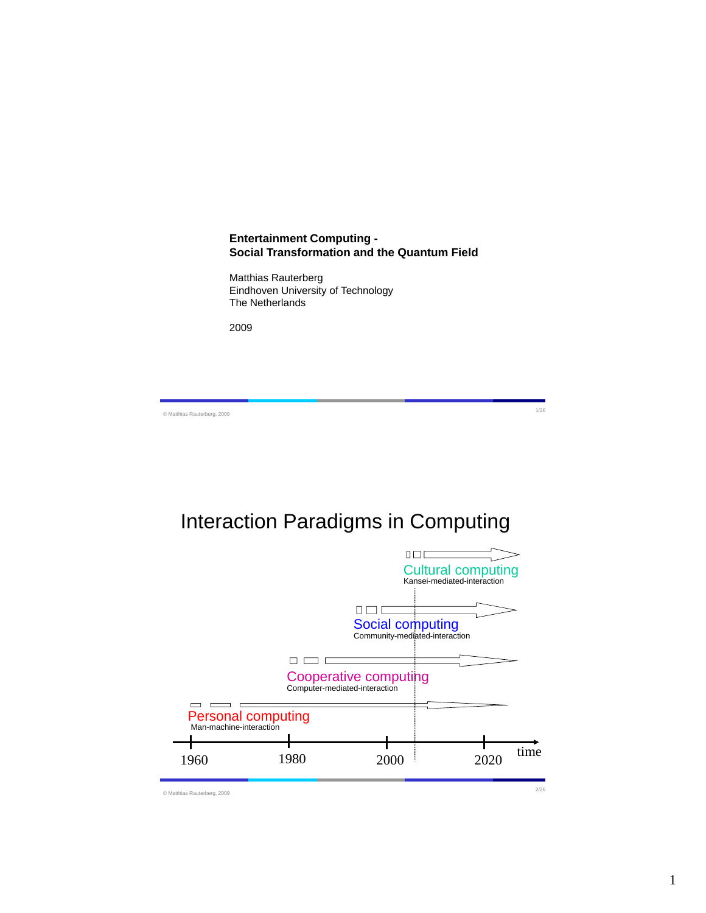## **Entertainment Computing - Social Transformation and the Quantum Field**

Matthias Rauterberg Eindhoven University of Technology The Netherlands

2009

© Matthias Rauterberg, 2009 1/26

# Interaction Paradigms in Computing

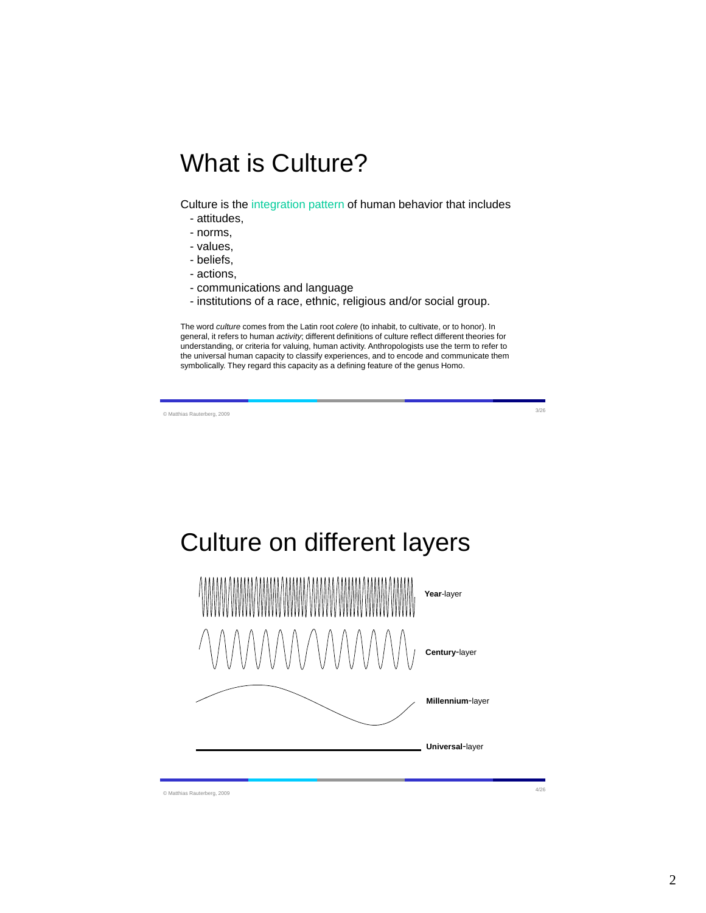# What is Culture?

Culture is the integration pattern of human behavior that includes

- attitudes,
- norms,
- values,
- beliefs,
- actions,
- communications and language
- institutions of a race, ethnic, religious and/or social group.

The word *culture* comes from the Latin root *colere* (to inhabit, to cultivate, or to honor). In general, it refers to human *activity*; different definitions of culture reflect different theories for understanding, or criteria for valuing, human activity. Anthropologists use the term to refer to the universal human capacity to classify experiences, and to encode and communicate them symbolically. They regard this capacity as a defining feature of the genus Homo.

© Matthias Rauterberg, 2009 3/26

# Culture on different layers



© Matthias Rauterberg, 2009 4/26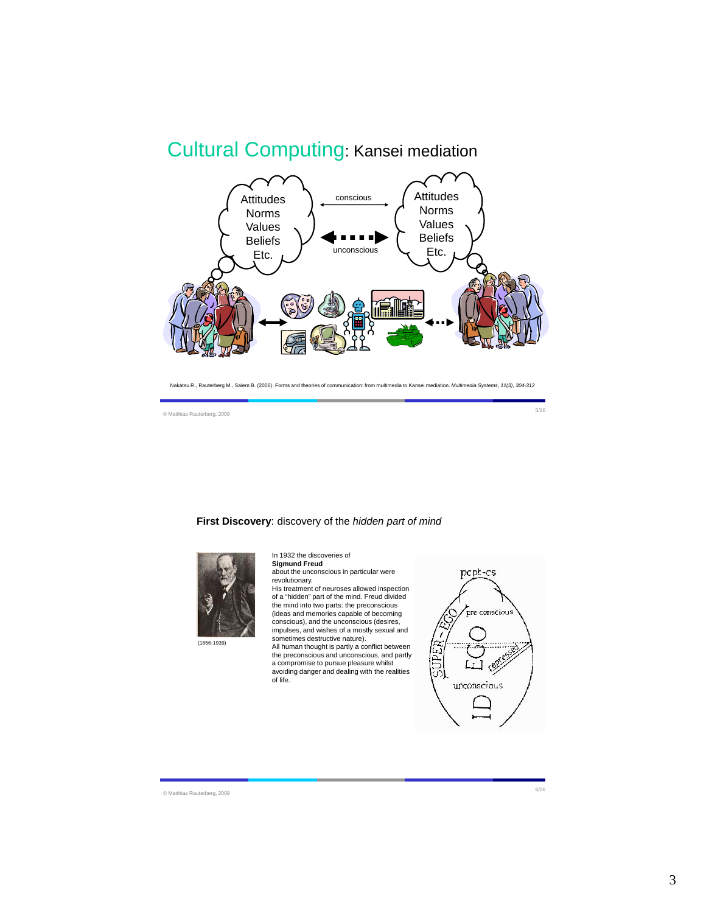# Cultural Computing: Kansei mediation



Nakatsu R., Rauterberg M., Salem B. (2006). Forms and theories of communication: from multimedia to Kansei mediation. *Multimedia Systems, 11(3), 304-312*

© Matthias Rauterberg, 2009 5/26

#### **First Discovery**: discovery of the *hidden part of mind*



**Sigmund Freud** about the unconscious in particular were revolutionary.

In 1932 the discoveries of

His treatment of neuroses allowed inspection of a "hidden" part of the mind. Freud divided the mind into two parts: the preconscious (ideas and memories capable of becoming conscious), and the unconscious (desires, impulses, and wishes of a mostly sexual and sometimes destructive nature).

All human thought is partly a conflict between the preconscious and unconscious, and partly a compromise to pursue pleasure whilst avoiding danger and dealing with the realities of life.



© Matthias Rauterberg, 2009 6/26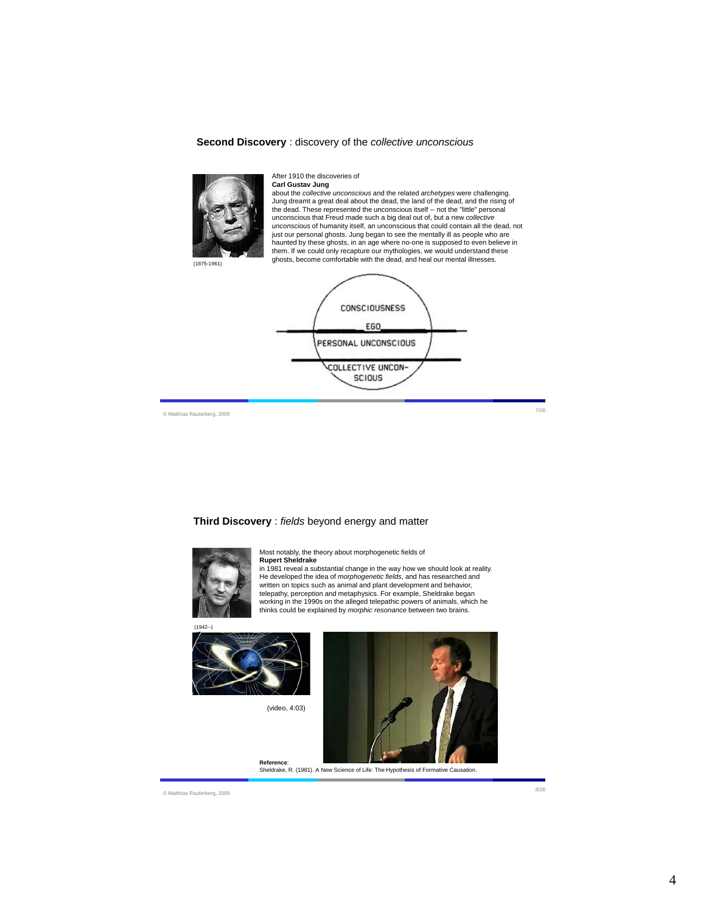#### **Second Discovery** : discovery of the *collective unconscious*



#### After 1910 the discoveries of

**Carl Gustav Jung** about the *collective unconscious* and the related *archetypes* were challenging. Jung dreamt a great deal about the dead, the land of the dead, and the rising of the dead. These represented the unconscious itself -- not the "little" personal unconscious that Freud made such a big deal out of, but a new *collective unconscious* of humanity itself, an unconscious that could contain all the dead, not just our personal ghosts. Jung began to see the mentally ill as people who are haunted by these ghosts, in an age where no-one is supposed to even believe in them. If we could only recapture our mythologies, we would understand these ghosts, become comfortable with the dead, and heal our mental illnesses.<br>(1875-1961)



© Matthias Rauterberg, 2009 7/26

**Third Discovery** : *fields* beyond energy and matter



Most notably, the theory about morphogenetic fields of **Rupert Sheldrake**

in 1981 reveal a substantial change in the way how we should look at reality. He developed the idea of *morphogenetic fields*, and has researched and written on topics such as animal and plant development and behavior, telepathy, perception and metaphysics. For example, Sheldrake began working in the 1990s on the alleged telepathic powers of animals, which he thinks could be explained by *morphic resonance* between two brains.



(video, 4:03)



**Reference**: Sheldrake, R. (1981). A New Science of Life: The Hypothesis of Formative Causation.

© Matthias Rauterberg, 2009 8/26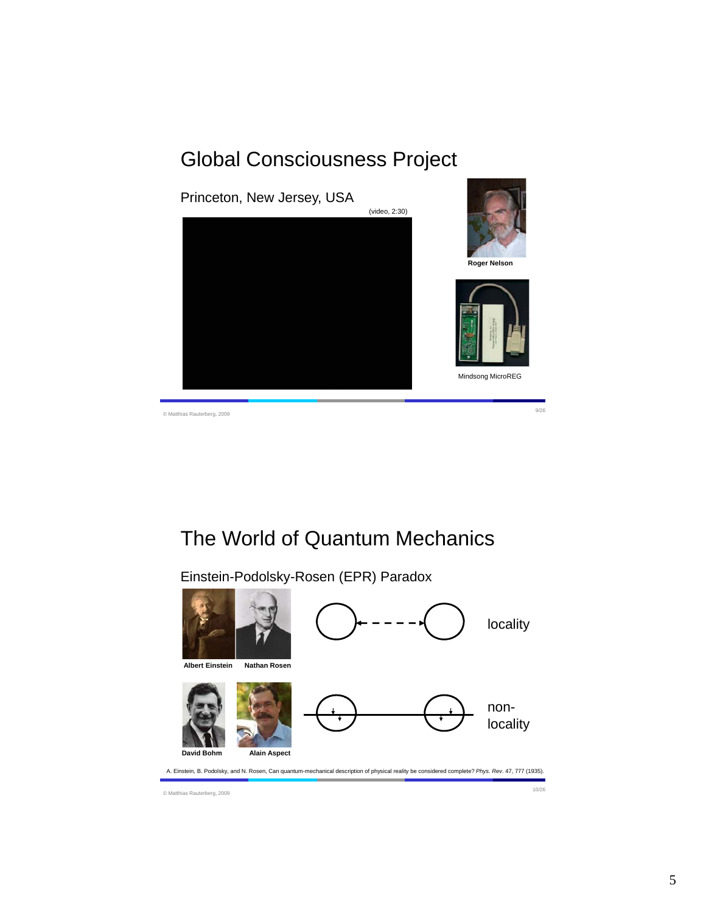# Global Consciousness Project



# The World of Quantum Mechanics

Einstein-Podolsky-Rosen (EPR) Paradox

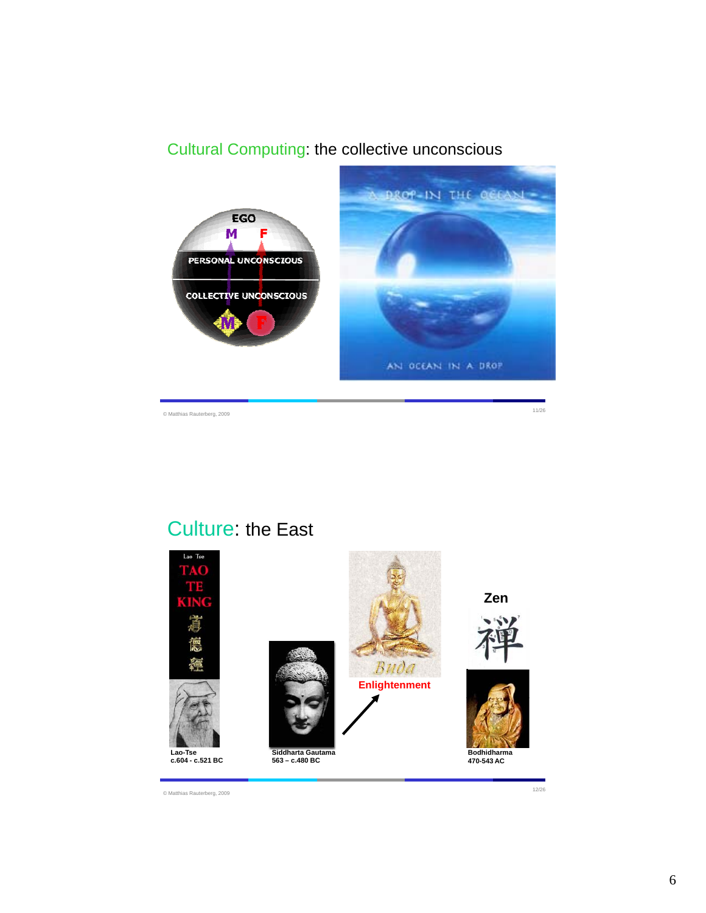## Cultural Computing: the collective unconscious



# Culture: the East



© Matthias Rauterberg, 2009 12/26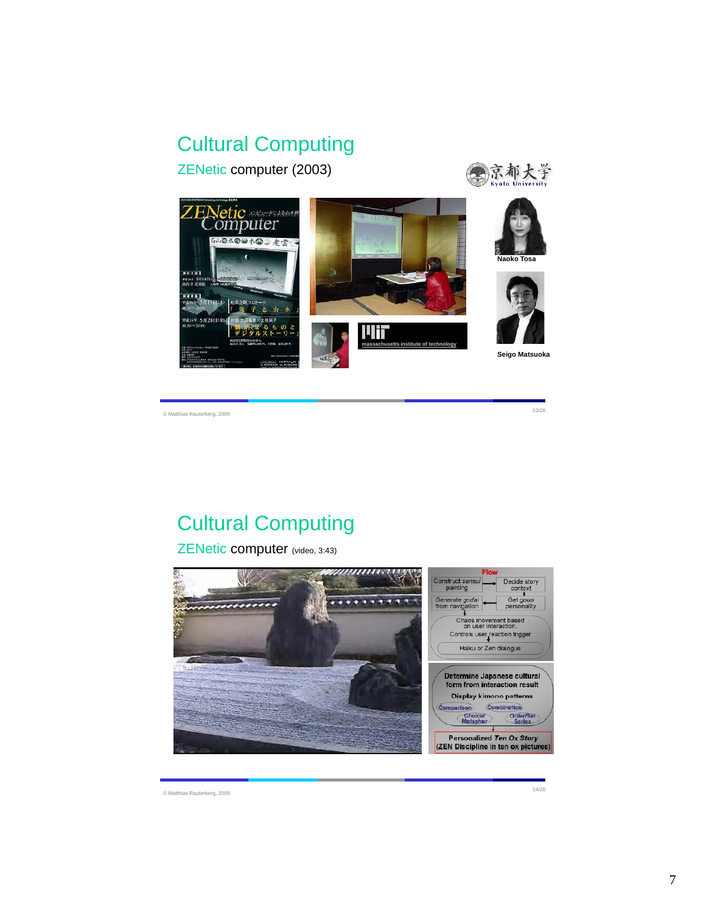# Cultural Computing

ZENetic computer (2003)





© Matthias Rauterberg, 2009 13/26

# Cultural Computing

ZENetic computer (video, 3:43)



© Matthias Rauterberg, 2009 14/26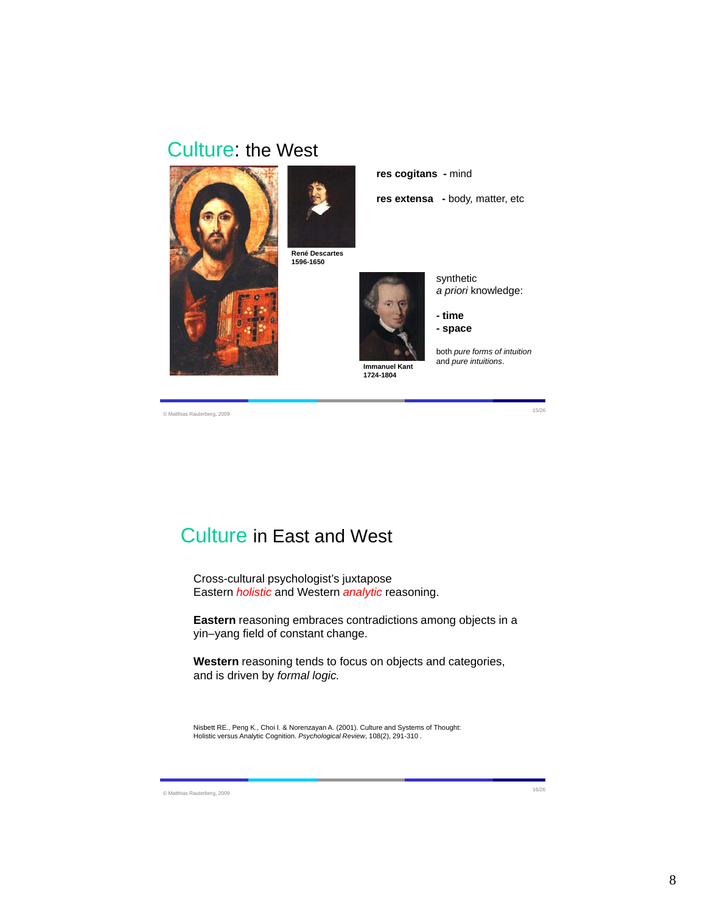## Culture: the West





**René Descartes 1596-1650**



synthetic *a priori* knowledge:

**- time - space**

**res extensa -** body, matter, etc

**res cogitans -** mind

both *pure forms of intuition* and *pure intuitions*.

© Matthias Rauterberg, 2009 15/26

Culture in East and West

Cross-cultural psychologist's juxtapose Eastern *holistic* and Western *analytic* reasoning.

**Eastern** reasoning embraces contradictions among objects in a yin–yang field of constant change.

**Western** reasoning tends to focus on objects and categories, and is driven by *formal logic.*

Nisbett RE., Peng K., Choi I. & Norenzayan A. (2001). Culture and Systems of Thought: Holistic versus Analytic Cognition. *Psychological Review*, 108(2), 291-310 .

© Matthias Rauterberg, 2009 16/26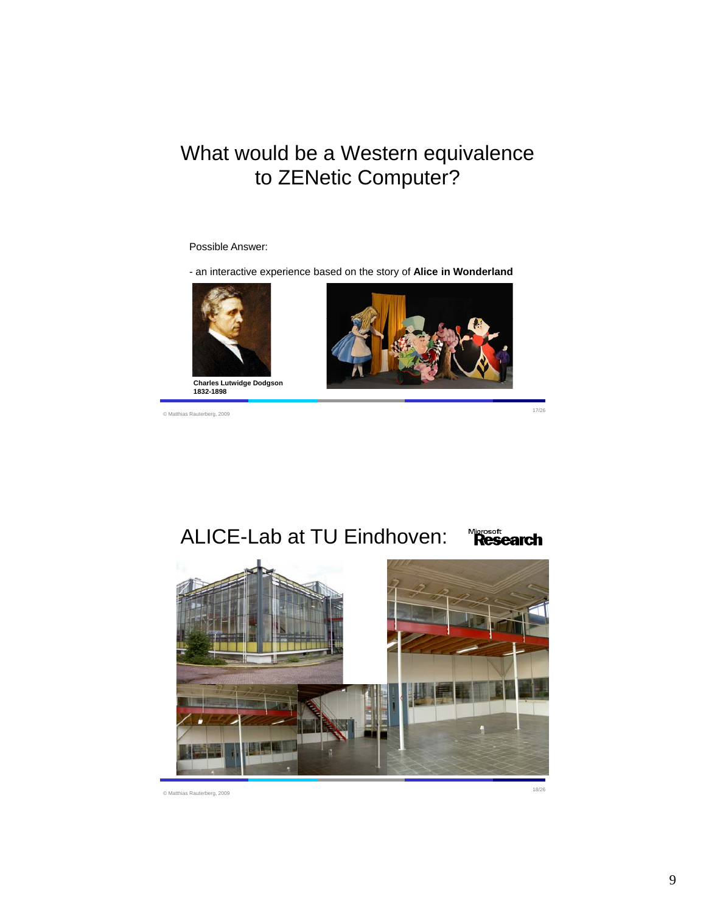# What would be a Western equivalence to ZENetic Computer?

## Possible Answer:

- an interactive experience based on the story of **Alice in Wonderland**



© Matthias Rauterberg, 2009 17/26



#### ALICE-Lab at TU Eindhoven: Microsoft<br>**Research**



© Matthias Rauterberg, 2009 18/26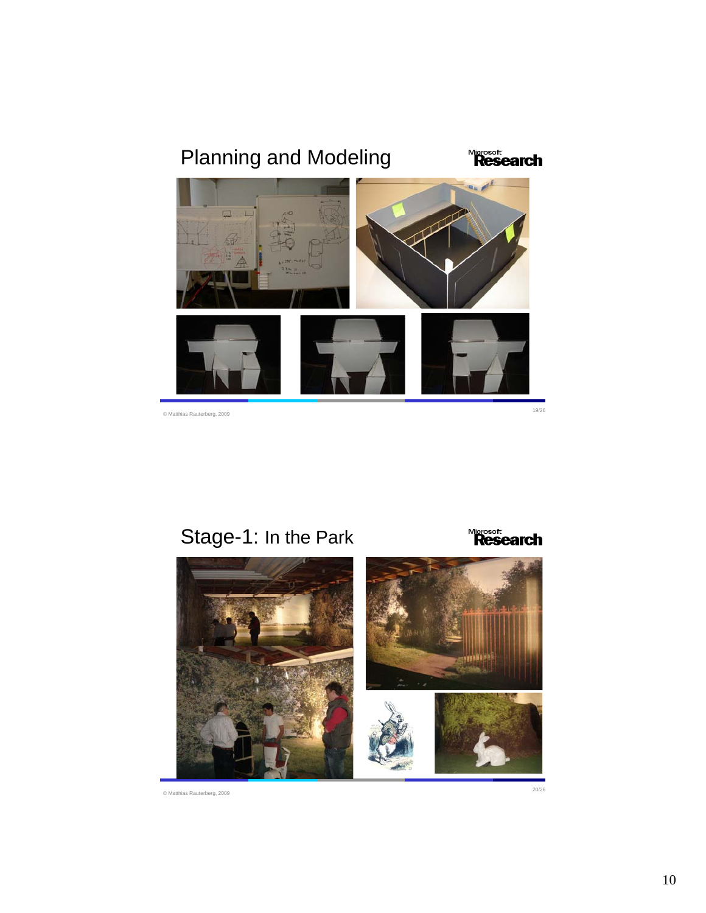# Planning and Modeling **Microsoft<br>Research** © Matthias Rauterberg, 2009 19/26

Stage-1: In the Park



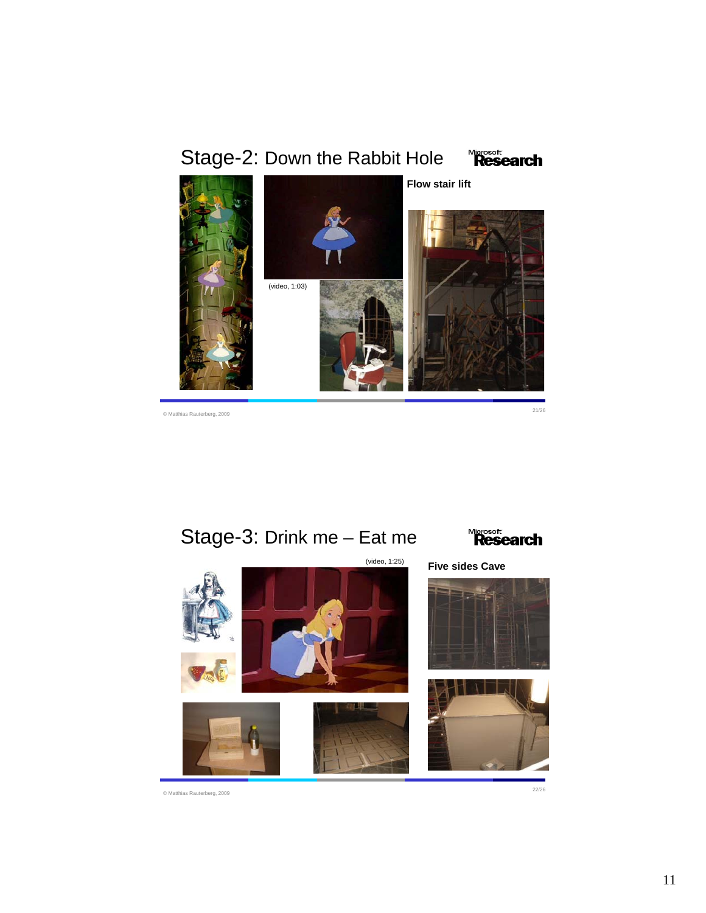







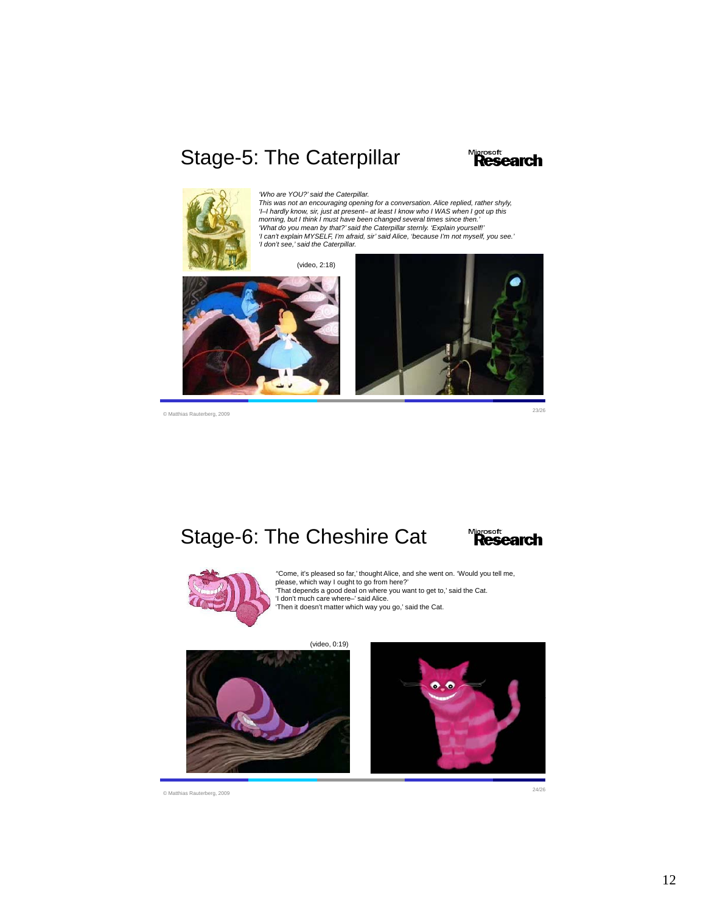# Stage-5: The Caterpillar





*'Who are YOU?' said the Caterpillar.*

This was not an encouraging opening for a conversation. Alice replied, rather shyly,<br>'I–I hardly know, sir, just at present– at least I know who I WAS when I got up this<br>morning, but I think I must have been changed severa *'I can't explain MYSELF, I'm afraid, sir' said Alice, 'because I'm not myself, you see.' 'I don't see,' said the Caterpillar.*

(video, 2:18)





© Matthias Rauterberg, 2009 23/26

### Stage-6: The Cheshire Cat Microsoft<br>**Research**



*'*'Come, it's pleased so far,' thought Alice, and she went on. 'Would you tell me,<br>please, which way I ought to go from here?'<br>'That depends a good deal on where you want to get to,' said the Cat. 'I don't much care where–' said Alice. 'Then it doesn't matter which way you go,' said the Cat.

(video, 0:19)



© Matthias Rauterberg, 2009 24/26